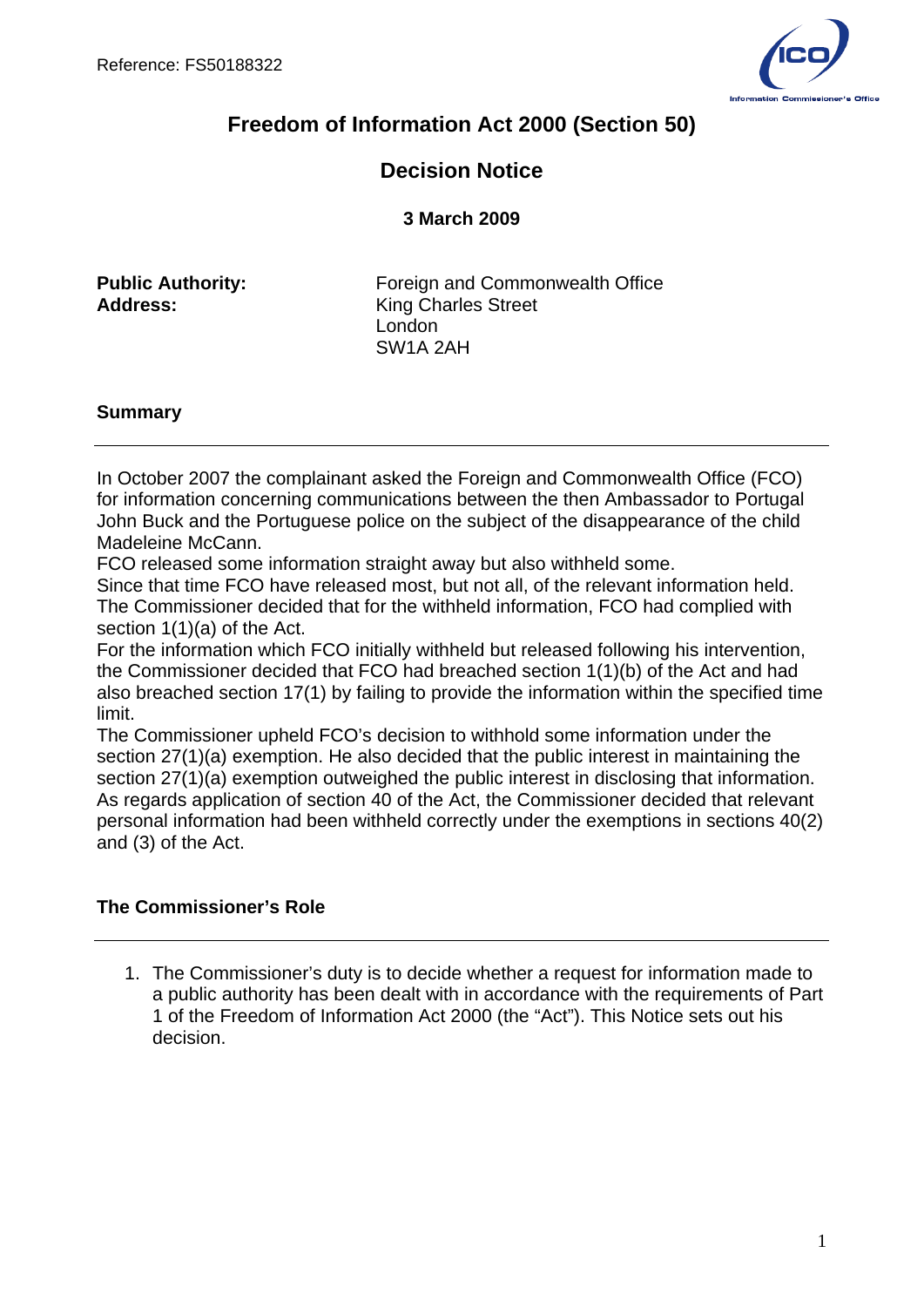

# **Freedom of Information Act 2000 (Section 50)**

# **Decision Notice**

**3 March 2009**

**Public Authority: Foreign and Commonwealth Office Address:** King Charles Street London SW1A 2AH

## **Summary**

In October 2007 the complainant asked the Foreign and Commonwealth Office (FCO) for information concerning communications between the then Ambassador to Portugal John Buck and the Portuguese police on the subject of the disappearance of the child Madeleine McCann.

FCO released some information straight away but also withheld some.

Since that time FCO have released most, but not all, of the relevant information held. The Commissioner decided that for the withheld information, FCO had complied with section 1(1)(a) of the Act.

For the information which FCO initially withheld but released following his intervention, the Commissioner decided that FCO had breached section 1(1)(b) of the Act and had also breached section 17(1) by failing to provide the information within the specified time limit.

The Commissioner upheld FCO's decision to withhold some information under the section 27(1)(a) exemption. He also decided that the public interest in maintaining the section 27(1)(a) exemption outweighed the public interest in disclosing that information. As regards application of section 40 of the Act, the Commissioner decided that relevant personal information had been withheld correctly under the exemptions in sections 40(2) and (3) of the Act.

## **The Commissioner's Role**

1. The Commissioner's duty is to decide whether a request for information made to a public authority has been dealt with in accordance with the requirements of Part 1 of the Freedom of Information Act 2000 (the "Act"). This Notice sets out his decision.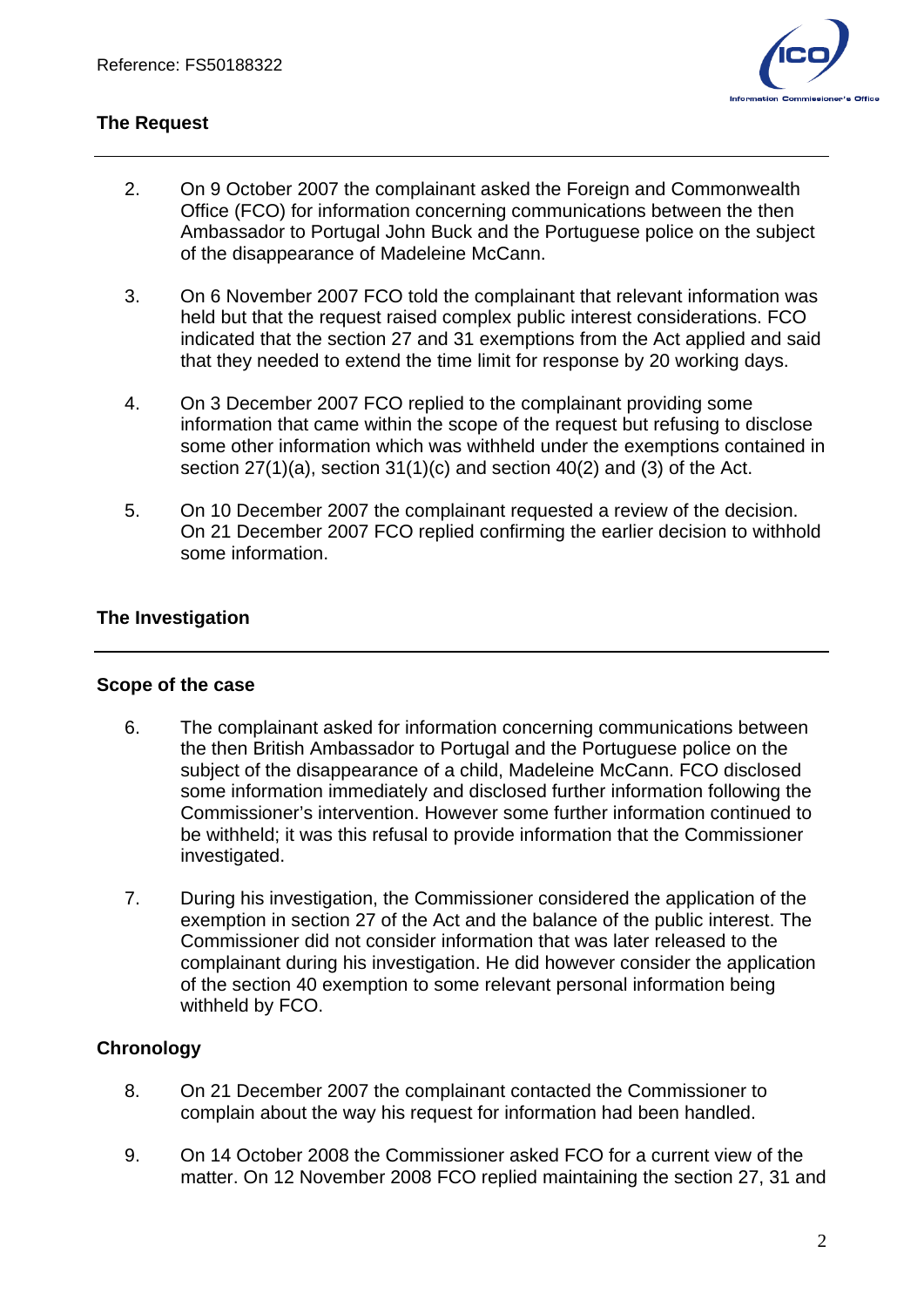

# **The Request**

- 2. On 9 October 2007 the complainant asked the Foreign and Commonwealth Office (FCO) for information concerning communications between the then Ambassador to Portugal John Buck and the Portuguese police on the subject of the disappearance of Madeleine McCann.
- 3. On 6 November 2007 FCO told the complainant that relevant information was held but that the request raised complex public interest considerations. FCO indicated that the section 27 and 31 exemptions from the Act applied and said that they needed to extend the time limit for response by 20 working days.
- 4. On 3 December 2007 FCO replied to the complainant providing some information that came within the scope of the request but refusing to disclose some other information which was withheld under the exemptions contained in section 27(1)(a), section 31(1)(c) and section 40(2) and (3) of the Act.
- 5. On 10 December 2007 the complainant requested a review of the decision. On 21 December 2007 FCO replied confirming the earlier decision to withhold some information.

## **The Investigation**

#### **Scope of the case**

- 6. The complainant asked for information concerning communications between the then British Ambassador to Portugal and the Portuguese police on the subject of the disappearance of a child, Madeleine McCann. FCO disclosed some information immediately and disclosed further information following the Commissioner's intervention. However some further information continued to be withheld; it was this refusal to provide information that the Commissioner investigated.
- 7. During his investigation, the Commissioner considered the application of the exemption in section 27 of the Act and the balance of the public interest. The Commissioner did not consider information that was later released to the complainant during his investigation. He did however consider the application of the section 40 exemption to some relevant personal information being withheld by FCO.

## **Chronology**

- 8. On 21 December 2007 the complainant contacted the Commissioner to complain about the way his request for information had been handled.
- 9. On 14 October 2008 the Commissioner asked FCO for a current view of the matter. On 12 November 2008 FCO replied maintaining the section 27, 31 and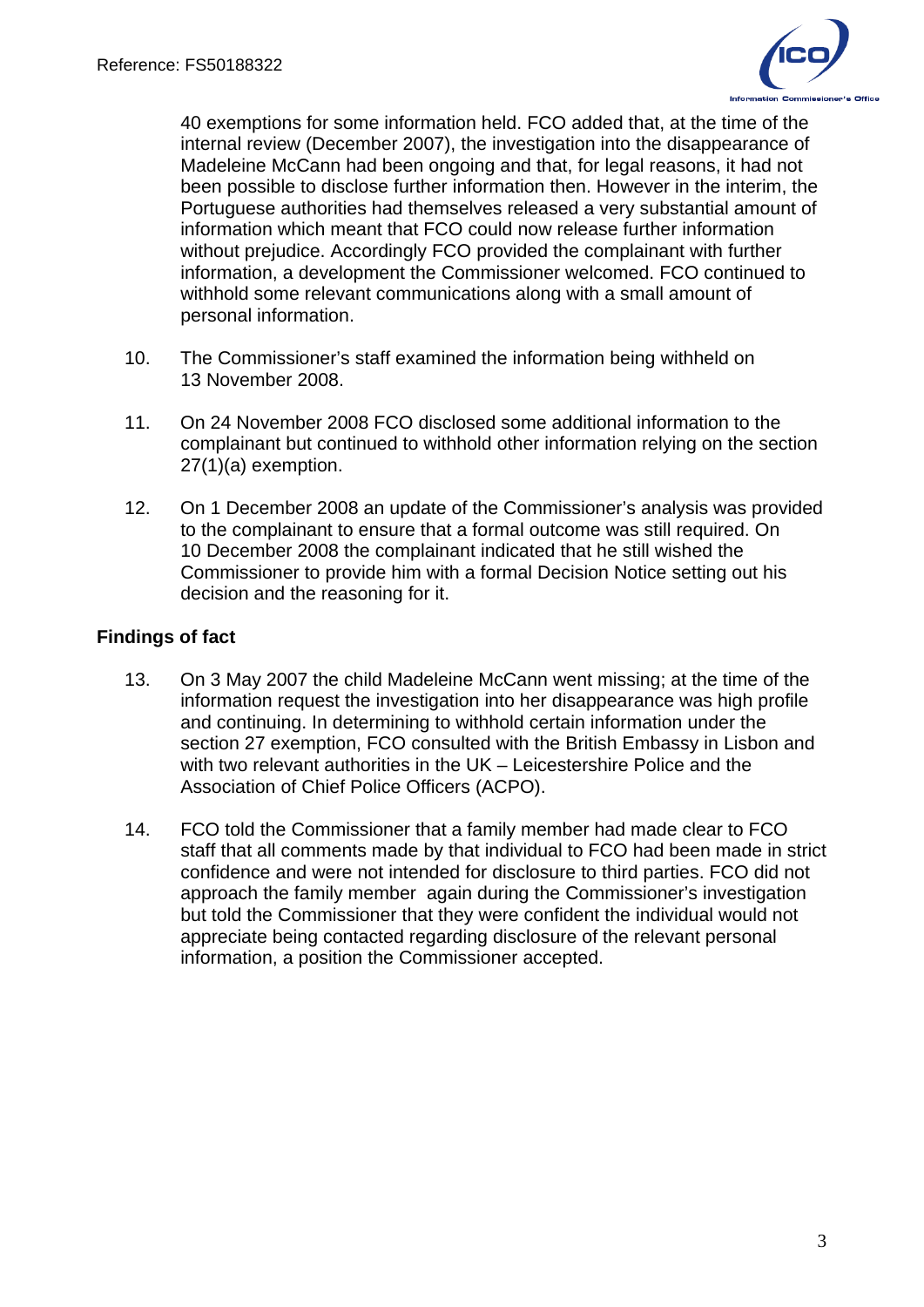

40 exemptions for some information held. FCO added that, at the time of the internal review (December 2007), the investigation into the disappearance of Madeleine McCann had been ongoing and that, for legal reasons, it had not been possible to disclose further information then. However in the interim, the Portuguese authorities had themselves released a very substantial amount of information which meant that FCO could now release further information without prejudice. Accordingly FCO provided the complainant with further information, a development the Commissioner welcomed. FCO continued to withhold some relevant communications along with a small amount of personal information.

- 10. The Commissioner's staff examined the information being withheld on 13 November 2008.
- 11. On 24 November 2008 FCO disclosed some additional information to the complainant but continued to withhold other information relying on the section 27(1)(a) exemption.
- 12. On 1 December 2008 an update of the Commissioner's analysis was provided to the complainant to ensure that a formal outcome was still required. On 10 December 2008 the complainant indicated that he still wished the Commissioner to provide him with a formal Decision Notice setting out his decision and the reasoning for it.

## **Findings of fact**

- 13. On 3 May 2007 the child Madeleine McCann went missing; at the time of the information request the investigation into her disappearance was high profile and continuing. In determining to withhold certain information under the section 27 exemption, FCO consulted with the British Embassy in Lisbon and with two relevant authorities in the UK – Leicestershire Police and the Association of Chief Police Officers (ACPO).
- 14. FCO told the Commissioner that a family member had made clear to FCO staff that all comments made by that individual to FCO had been made in strict confidence and were not intended for disclosure to third parties. FCO did not approach the family member again during the Commissioner's investigation but told the Commissioner that they were confident the individual would not appreciate being contacted regarding disclosure of the relevant personal information, a position the Commissioner accepted.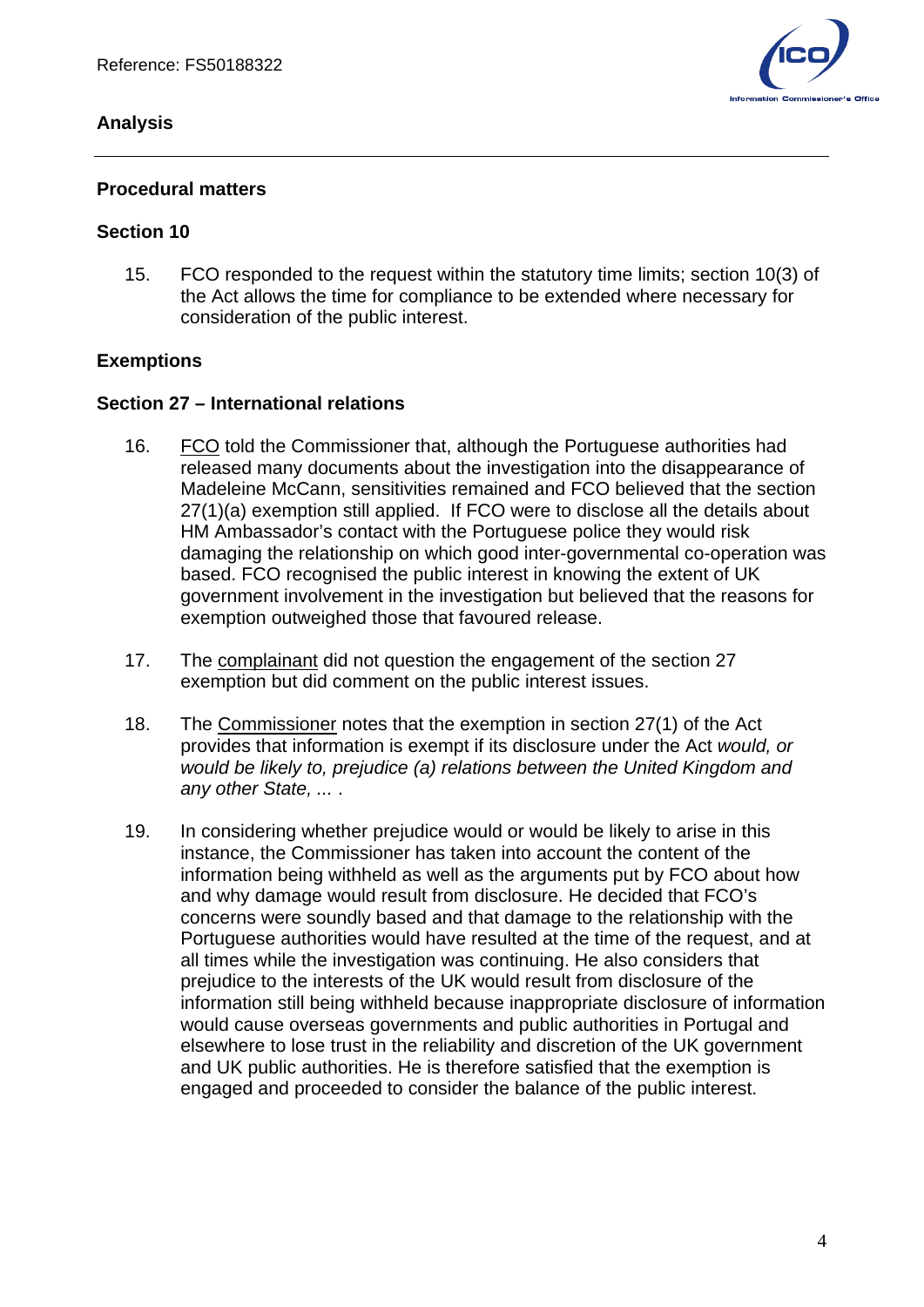### **Analysis**



#### **Procedural matters**

#### **Section 10**

15. FCO responded to the request within the statutory time limits; section 10(3) of the Act allows the time for compliance to be extended where necessary for consideration of the public interest.

#### **Exemptions**

#### **Section 27 – International relations**

- 16. FCO told the Commissioner that, although the Portuguese authorities had released many documents about the investigation into the disappearance of Madeleine McCann, sensitivities remained and FCO believed that the section 27(1)(a) exemption still applied. If FCO were to disclose all the details about HM Ambassador's contact with the Portuguese police they would risk damaging the relationship on which good inter-governmental co-operation was based. FCO recognised the public interest in knowing the extent of UK government involvement in the investigation but believed that the reasons for exemption outweighed those that favoured release.
- 17. The complainant did not question the engagement of the section 27 exemption but did comment on the public interest issues.
- 18. The Commissioner notes that the exemption in section 27(1) of the Act provides that information is exempt if its disclosure under the Act *would, or would be likely to, prejudice (a) relations between the United Kingdom and any other State, ...* .
- 19. In considering whether prejudice would or would be likely to arise in this instance, the Commissioner has taken into account the content of the information being withheld as well as the arguments put by FCO about how and why damage would result from disclosure. He decided that FCO's concerns were soundly based and that damage to the relationship with the Portuguese authorities would have resulted at the time of the request, and at all times while the investigation was continuing. He also considers that prejudice to the interests of the UK would result from disclosure of the information still being withheld because inappropriate disclosure of information would cause overseas governments and public authorities in Portugal and elsewhere to lose trust in the reliability and discretion of the UK government and UK public authorities. He is therefore satisfied that the exemption is engaged and proceeded to consider the balance of the public interest.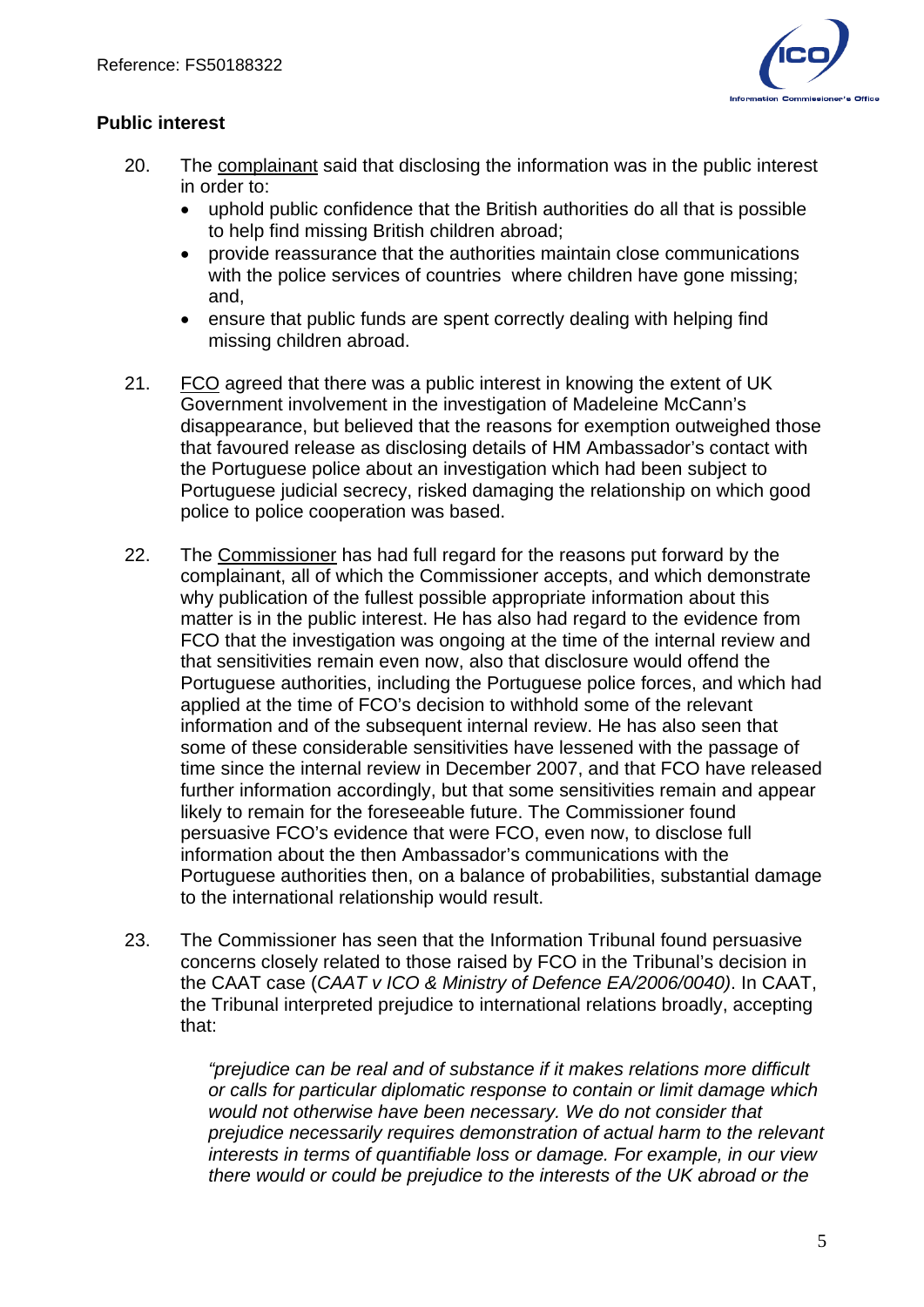

# **Public interest**

- 20. The complainant said that disclosing the information was in the public interest in order to:
	- uphold public confidence that the British authorities do all that is possible to help find missing British children abroad;
	- provide reassurance that the authorities maintain close communications with the police services of countries where children have gone missing; and,
	- ensure that public funds are spent correctly dealing with helping find missing children abroad.
- 21. FCO agreed that there was a public interest in knowing the extent of UK Government involvement in the investigation of Madeleine McCann's disappearance, but believed that the reasons for exemption outweighed those that favoured release as disclosing details of HM Ambassador's contact with the Portuguese police about an investigation which had been subject to Portuguese judicial secrecy, risked damaging the relationship on which good police to police cooperation was based.
- 22. The Commissioner has had full regard for the reasons put forward by the complainant, all of which the Commissioner accepts, and which demonstrate why publication of the fullest possible appropriate information about this matter is in the public interest. He has also had regard to the evidence from FCO that the investigation was ongoing at the time of the internal review and that sensitivities remain even now, also that disclosure would offend the Portuguese authorities, including the Portuguese police forces, and which had applied at the time of FCO's decision to withhold some of the relevant information and of the subsequent internal review. He has also seen that some of these considerable sensitivities have lessened with the passage of time since the internal review in December 2007, and that FCO have released further information accordingly, but that some sensitivities remain and appear likely to remain for the foreseeable future. The Commissioner found persuasive FCO's evidence that were FCO, even now, to disclose full information about the then Ambassador's communications with the Portuguese authorities then, on a balance of probabilities, substantial damage to the international relationship would result.
- 23. The Commissioner has seen that the Information Tribunal found persuasive concerns closely related to those raised by FCO in the Tribunal's decision in the CAAT case (*CAAT v ICO & Ministry of Defence EA/2006/0040)*. In CAAT, the Tribunal interpreted prejudice to international relations broadly, accepting that:

*"prejudice can be real and of substance if it makes relations more difficult or calls for particular diplomatic response to contain or limit damage which would not otherwise have been necessary. We do not consider that prejudice necessarily requires demonstration of actual harm to the relevant interests in terms of quantifiable loss or damage. For example, in our view there would or could be prejudice to the interests of the UK abroad or the*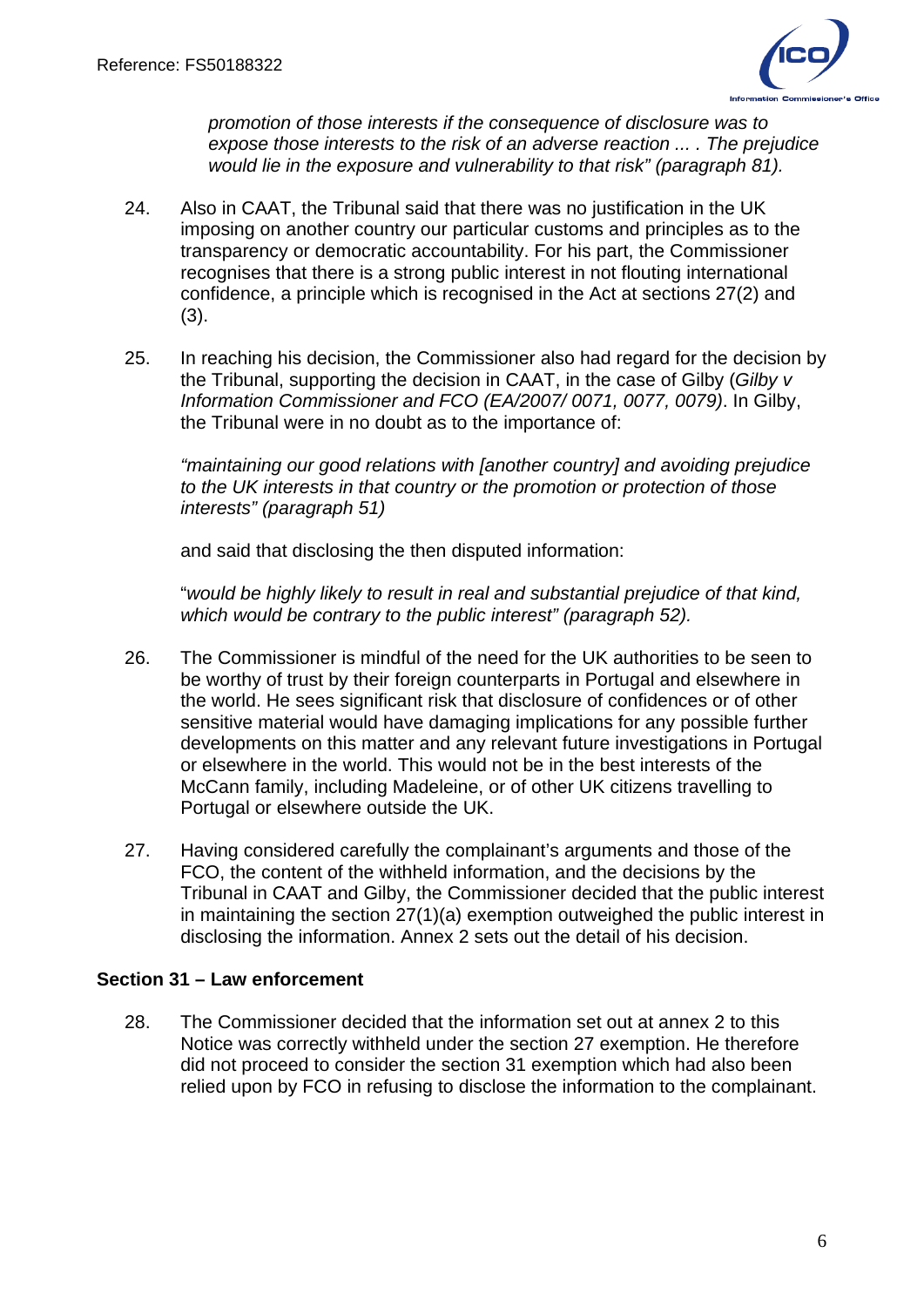

*promotion of those interests if the consequence of disclosure was to expose those interests to the risk of an adverse reaction ... . The prejudice would lie in the exposure and vulnerability to that risk" (paragraph 81).*

- 24. Also in CAAT, the Tribunal said that there was no justification in the UK imposing on another country our particular customs and principles as to the transparency or democratic accountability. For his part, the Commissioner recognises that there is a strong public interest in not flouting international confidence, a principle which is recognised in the Act at sections 27(2) and (3).
- 25. In reaching his decision, the Commissioner also had regard for the decision by the Tribunal, supporting the decision in CAAT, in the case of Gilby (*Gilby v Information Commissioner and FCO (EA/2007/ 0071, 0077, 0079)*. In Gilby, the Tribunal were in no doubt as to the importance of:

*"maintaining our good relations with [another country] and avoiding prejudice to the UK interests in that country or the promotion or protection of those interests" (paragraph 51)* 

and said that disclosing the then disputed information:

"*would be highly likely to result in real and substantial prejudice of that kind, which would be contrary to the public interest" (paragraph 52).*

- 26. The Commissioner is mindful of the need for the UK authorities to be seen to be worthy of trust by their foreign counterparts in Portugal and elsewhere in the world. He sees significant risk that disclosure of confidences or of other sensitive material would have damaging implications for any possible further developments on this matter and any relevant future investigations in Portugal or elsewhere in the world. This would not be in the best interests of the McCann family, including Madeleine, or of other UK citizens travelling to Portugal or elsewhere outside the UK.
- 27. Having considered carefully the complainant's arguments and those of the FCO, the content of the withheld information, and the decisions by the Tribunal in CAAT and Gilby, the Commissioner decided that the public interest in maintaining the section 27(1)(a) exemption outweighed the public interest in disclosing the information. Annex 2 sets out the detail of his decision.

## **Section 31 – Law enforcement**

28. The Commissioner decided that the information set out at annex 2 to this Notice was correctly withheld under the section 27 exemption. He therefore did not proceed to consider the section 31 exemption which had also been relied upon by FCO in refusing to disclose the information to the complainant.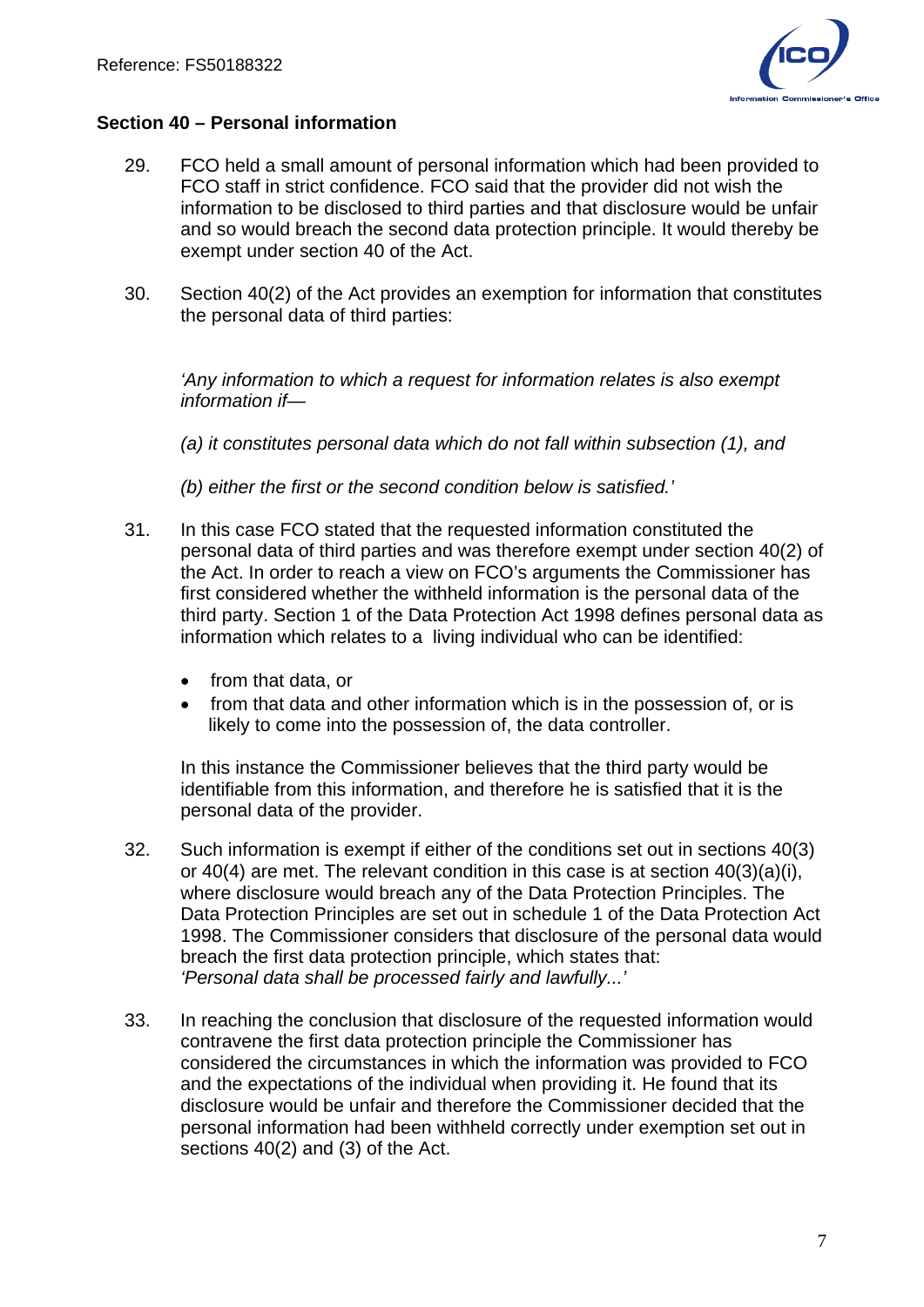

#### **Section 40 – Personal information**

- 29. FCO held a small amount of personal information which had been provided to FCO staff in strict confidence. FCO said that the provider did not wish the information to be disclosed to third parties and that disclosure would be unfair and so would breach the second data protection principle. It would thereby be exempt under section 40 of the Act.
- 30. Section 40(2) of the Act provides an exemption for information that constitutes the personal data of third parties:

*'Any information to which a request for information relates is also exempt information if—* 

*(a) it constitutes personal data which do not fall within subsection (1), and* 

*(b) either the first or the second condition below is satisfied.'* 

- 31. In this case FCO stated that the requested information constituted the personal data of third parties and was therefore exempt under section 40(2) of the Act. In order to reach a view on FCO's arguments the Commissioner has first considered whether the withheld information is the personal data of the third party. Section 1 of the Data Protection Act 1998 defines personal data as information which relates to a living individual who can be identified:
	- from that data, or
	- from that data and other information which is in the possession of, or is likely to come into the possession of, the data controller.

In this instance the Commissioner believes that the third party would be identifiable from this information, and therefore he is satisfied that it is the personal data of the provider.

- 32. Such information is exempt if either of the conditions set out in sections 40(3) or 40(4) are met. The relevant condition in this case is at section 40(3)(a)(i), where disclosure would breach any of the Data Protection Principles. The Data Protection Principles are set out in schedule 1 of the Data Protection Act 1998. The Commissioner considers that disclosure of the personal data would breach the first data protection principle, which states that: *'Personal data shall be processed fairly and lawfully...'*
- 33. In reaching the conclusion that disclosure of the requested information would contravene the first data protection principle the Commissioner has considered the circumstances in which the information was provided to FCO and the expectations of the individual when providing it. He found that its disclosure would be unfair and therefore the Commissioner decided that the personal information had been withheld correctly under exemption set out in sections 40(2) and (3) of the Act.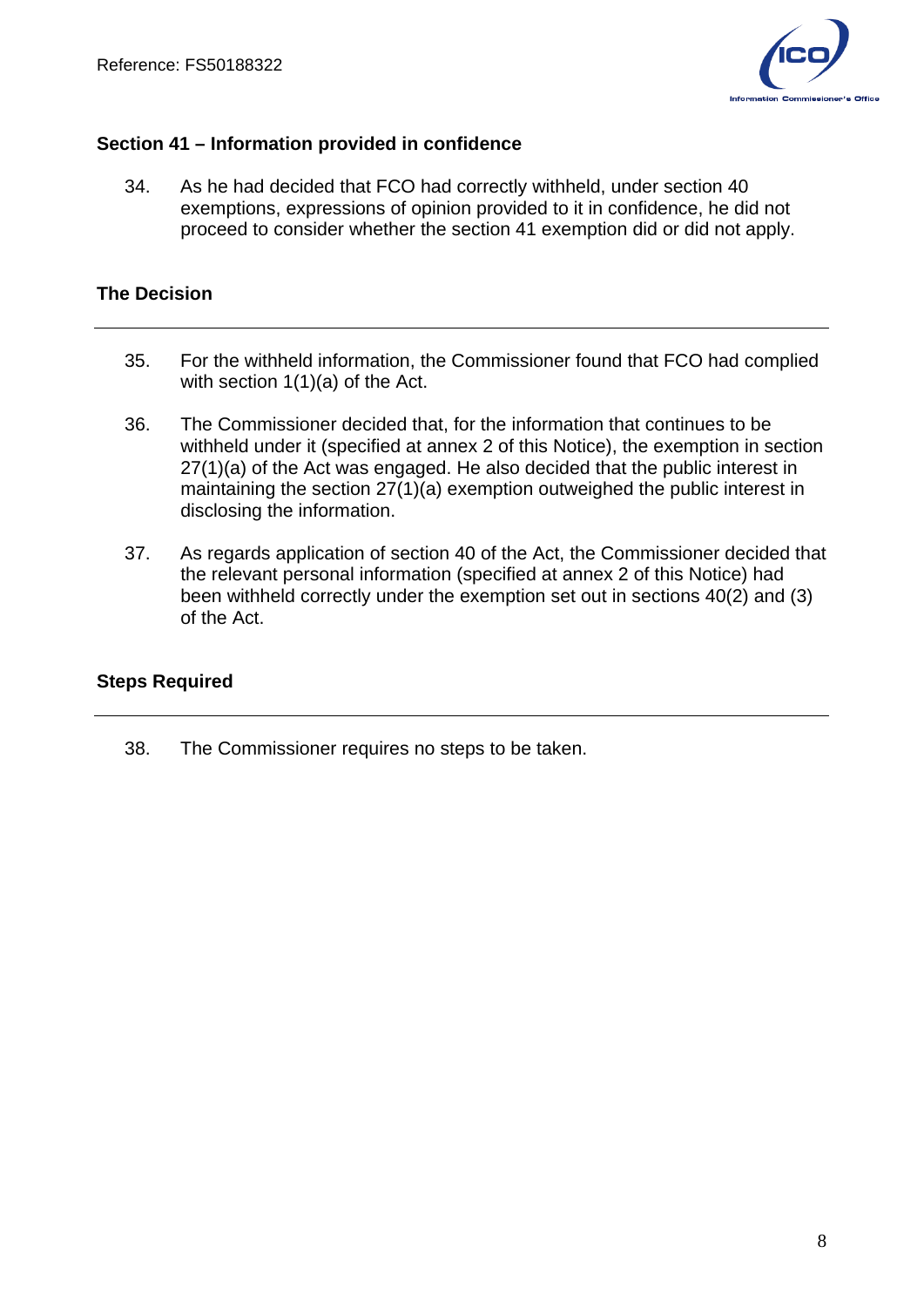

### **Section 41 – Information provided in confidence**

34. As he had decided that FCO had correctly withheld, under section 40 exemptions, expressions of opinion provided to it in confidence, he did not proceed to consider whether the section 41 exemption did or did not apply.

## **The Decision**

- 35. For the withheld information, the Commissioner found that FCO had complied with section 1(1)(a) of the Act.
- 36. The Commissioner decided that, for the information that continues to be withheld under it (specified at annex 2 of this Notice), the exemption in section 27(1)(a) of the Act was engaged. He also decided that the public interest in maintaining the section 27(1)(a) exemption outweighed the public interest in disclosing the information.
- 37. As regards application of section 40 of the Act, the Commissioner decided that the relevant personal information (specified at annex 2 of this Notice) had been withheld correctly under the exemption set out in sections 40(2) and (3) of the Act.

## **Steps Required**

38. The Commissioner requires no steps to be taken.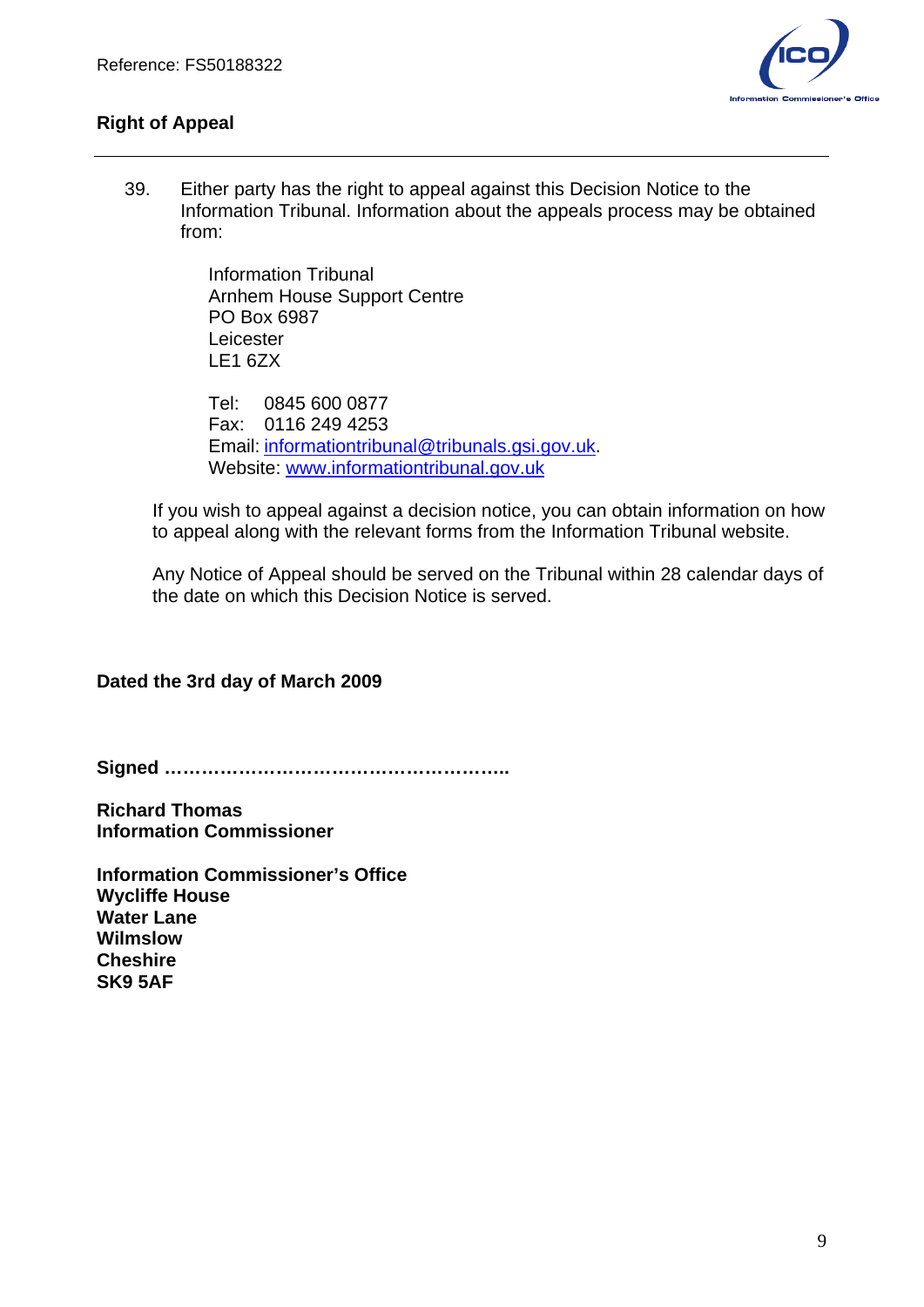

## **Right of Appeal**

39. Either party has the right to appeal against this Decision Notice to the Information Tribunal. Information about the appeals process may be obtained from:

> Information Tribunal Arnhem House Support Centre PO Box 6987 Leicester LE1 6ZX

Tel: 0845 600 0877 Fax: 0116 249 4253 Email: [informationtribunal@tribunals.gsi.gov.uk.](mailto:informationtribunal@tribunals.gsi.gov.uk) Website: [www.informationtribunal.gov.uk](http://www.informationtribunal.gov.uk/)

If you wish to appeal against a decision notice, you can obtain information on how to appeal along with the relevant forms from the Information Tribunal website.

Any Notice of Appeal should be served on the Tribunal within 28 calendar days of the date on which this Decision Notice is served.

## **Dated the 3rd day of March 2009**

**Signed ………………………………………………..** 

**Richard Thomas Information Commissioner** 

**Information Commissioner's Office Wycliffe House Water Lane Wilmslow Cheshire SK9 5AF**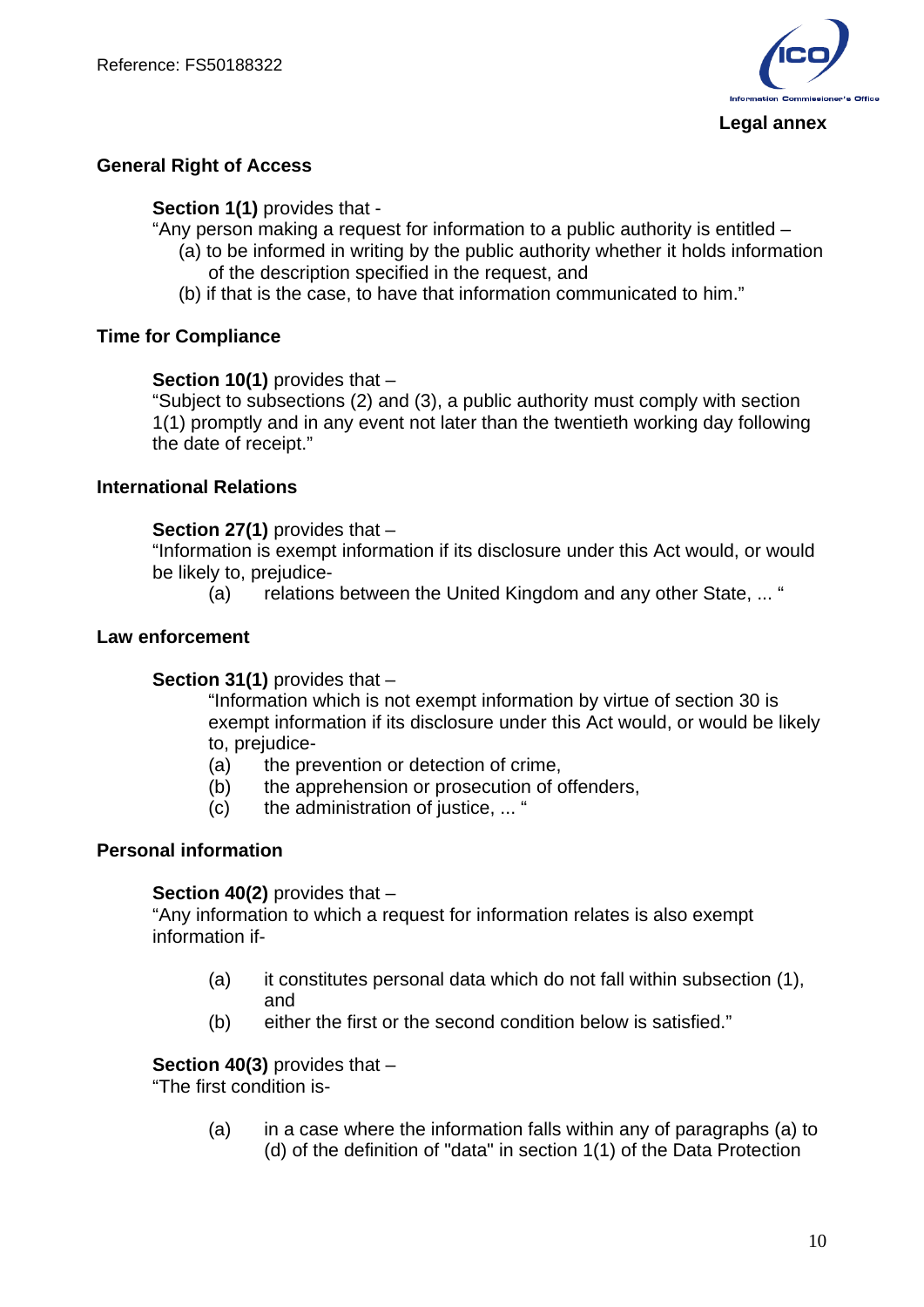

#### **Legal annex**

### **General Right of Access**

**Section 1(1)** provides that -

"Any person making a request for information to a public authority is entitled –

- (a) to be informed in writing by the public authority whether it holds information of the description specified in the request, and
- (b) if that is the case, to have that information communicated to him."

#### **Time for Compliance**

**Section 10(1)** provides that –

"Subject to subsections (2) and (3), a public authority must comply with section 1(1) promptly and in any event not later than the twentieth working day following the date of receipt."

#### **International Relations**

**Section 27(1)** provides that –

"Information is exempt information if its disclosure under this Act would, or would be likely to, prejudice-

(a) relations between the United Kingdom and any other State, ... "

### **Law enforcement**

#### **Section 31(1)** provides that –

"Information which is not exempt information by virtue of section 30 is exempt information if its disclosure under this Act would, or would be likely to, prejudice-

- (a) the prevention or detection of crime,
- (b) the apprehension or prosecution of offenders,
- (c) the administration of justice, ... "

#### **Personal information**

#### **Section 40(2)** provides that –

"Any information to which a request for information relates is also exempt information if-

- (a) it constitutes personal data which do not fall within subsection (1), and
- (b) either the first or the second condition below is satisfied."

**Section 40(3)** provides that –

"The first condition is-

(a) in a case where the information falls within any of paragraphs (a) to (d) of the definition of "data" in section 1(1) of the Data Protection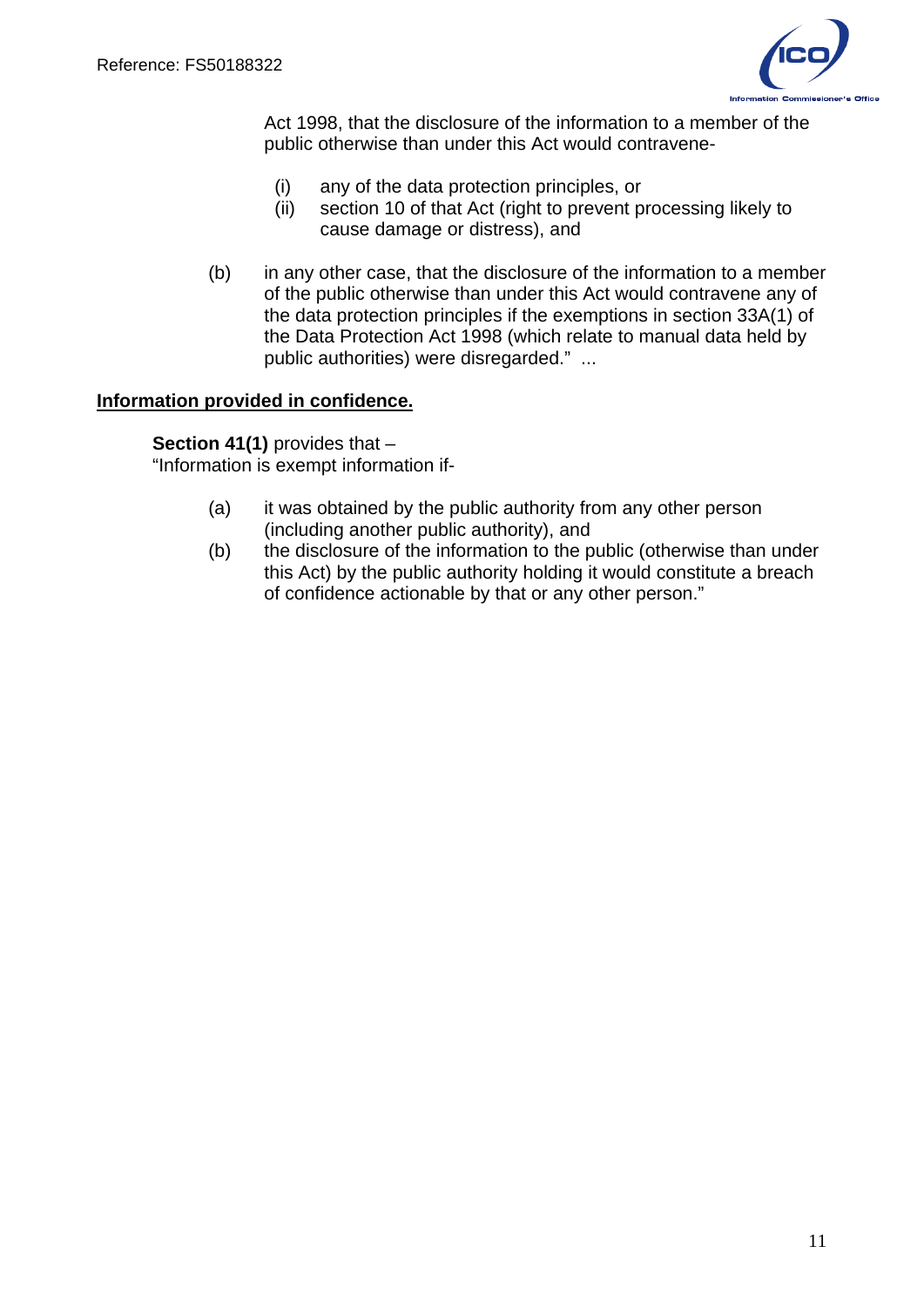

Act 1998, that the disclosure of the information to a member of the public otherwise than under this Act would contravene-

- (i) any of the data protection principles, or
- (ii) section 10 of that Act (right to prevent processing likely to cause damage or distress), and
- (b) in any other case, that the disclosure of the information to a member of the public otherwise than under this Act would contravene any of the data protection principles if the exemptions in section 33A(1) of the Data Protection Act 1998 (which relate to manual data held by public authorities) were disregarded." ...

#### **Information provided in confidence.**

**Section 41(1)** provides that – "Information is exempt information if-

- (a) it was obtained by the public authority from any other person (including another public authority), and
- (b) the disclosure of the information to the public (otherwise than under this Act) by the public authority holding it would constitute a breach of confidence actionable by that or any other person."